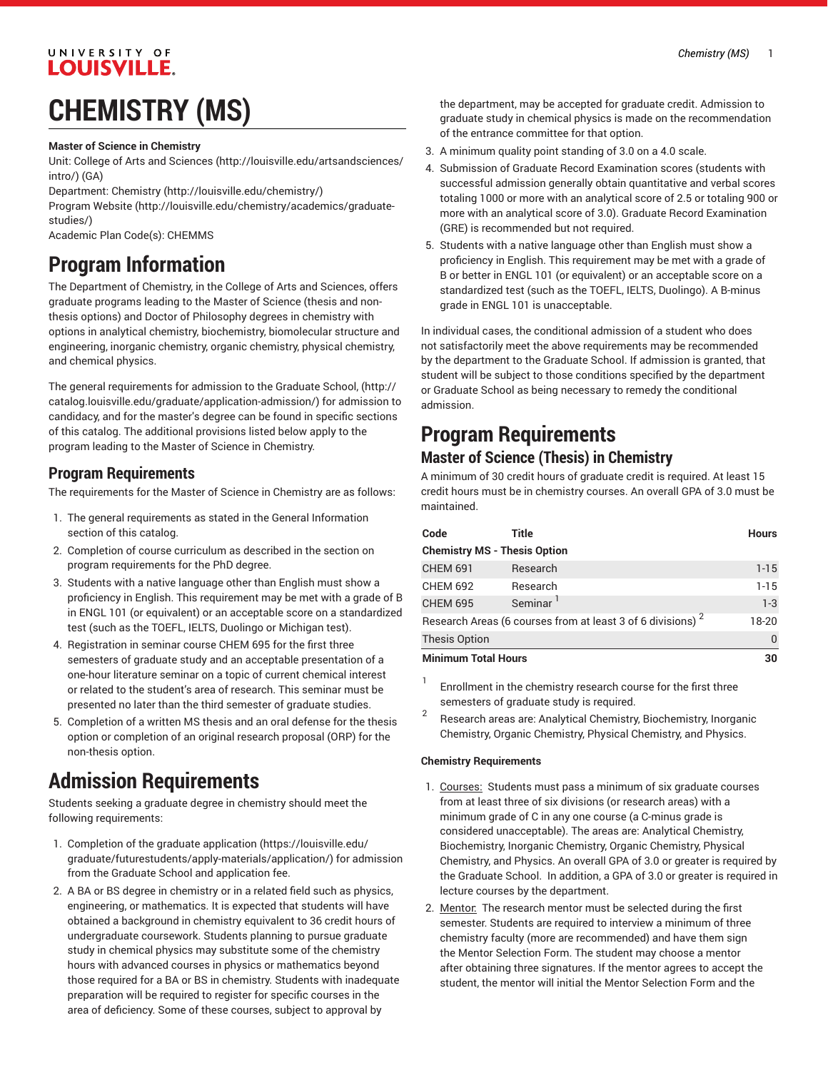#### UNIVERSITY OF **LOUISVILLE.**

## **CHEMISTRY (MS)**

**Master of Science in Chemistry**

Unit: College of Arts and [Sciences \(http://louisville.edu/artsandsciences/](http://louisville.edu/artsandsciences/intro/) [intro/\)](http://louisville.edu/artsandsciences/intro/) (GA)

Department: [Chemistry](http://louisville.edu/chemistry/) (<http://louisville.edu/chemistry/>)

[Program](http://louisville.edu/chemistry/academics/graduate-studies/) Website [\(http://louisville.edu/chemistry/academics/graduate](http://louisville.edu/chemistry/academics/graduate-studies/)[studies/\)](http://louisville.edu/chemistry/academics/graduate-studies/)

Academic Plan Code(s): CHEMMS

### **Program Information**

The Department of Chemistry, in the College of Arts and Sciences, offers graduate programs leading to the Master of Science (thesis and nonthesis options) and Doctor of Philosophy degrees in chemistry with options in analytical chemistry, biochemistry, biomolecular structure and engineering, inorganic chemistry, organic chemistry, physical chemistry, and chemical physics.

The general requirements for admission to the Graduate School[,](http://catalog.louisville.edu/graduate/application-admission/) ([http://](http://catalog.louisville.edu/graduate/application-admission/) [catalog.louisville.edu/graduate/application-admission/\)](http://catalog.louisville.edu/graduate/application-admission/) for admission to candidacy, and for the master's degree can be found in specific sections of this catalog. The additional provisions listed below apply to the program leading to the Master of Science in Chemistry.

#### **Program Requirements**

The requirements for the Master of Science in Chemistry are as follows:

- 1. The general requirements as stated in the General Information section of this catalog.
- 2. Completion of course curriculum as described in the section on program requirements for the PhD degree.
- 3. Students with a native language other than English must show a proficiency in English. This requirement may be met with a grade of B in ENGL 101 (or equivalent) or an acceptable score on a standardized test (such as the TOEFL, IELTS, Duolingo or Michigan test).
- 4. Registration in seminar course CHEM 695 for the first three semesters of graduate study and an acceptable presentation of a one-hour literature seminar on a topic of current chemical interest or related to the student's area of research. This seminar must be presented no later than the third semester of graduate studies.
- 5. Completion of a written MS thesis and an oral defense for the thesis option or completion of an original research proposal (ORP) for the non-thesis option.

### **Admission Requirements**

Students seeking a graduate degree in chemistry should meet the following requirements:

- 1. Completion of the [graduate application](https://louisville.edu/graduate/futurestudents/apply-materials/application/) ([https://louisville.edu/](https://louisville.edu/graduate/futurestudents/apply-materials/application/) [graduate/futurestudents/apply-materials/application/](https://louisville.edu/graduate/futurestudents/apply-materials/application/)) for admission from the Graduate School and application fee.
- 2. A BA or BS degree in chemistry or in a related field such as physics, engineering, or mathematics. It is expected that students will have obtained a background in chemistry equivalent to 36 credit hours of undergraduate coursework. Students planning to pursue graduate study in chemical physics may substitute some of the chemistry hours with advanced courses in physics or mathematics beyond those required for a BA or BS in chemistry. Students with inadequate preparation will be required to register for specific courses in the area of deficiency. Some of these courses, subject to approval by

the department, may be accepted for graduate credit. Admission to graduate study in chemical physics is made on the recommendation of the entrance committee for that option.

- 3. A minimum quality point standing of 3.0 on a 4.0 scale.
- 4. Submission of Graduate Record Examination scores (students with successful admission generally obtain quantitative and verbal scores totaling 1000 or more with an analytical score of 2.5 or totaling 900 or more with an analytical score of 3.0). Graduate Record Examination (GRE) is recommended but not required.
- 5. Students with a native language other than English must show a proficiency in English. This requirement may be met with a grade of B or better in ENGL 101 (or equivalent) or an acceptable score on a standardized test (such as the TOEFL, IELTS, Duolingo). A B-minus grade in ENGL 101 is unacceptable.

In individual cases, the conditional admission of a student who does not satisfactorily meet the above requirements may be recommended by the department to the Graduate School. If admission is granted, that student will be subject to those conditions specified by the department or Graduate School as being necessary to remedy the conditional admission.

## **Program Requirements**

#### **Master of Science (Thesis) in Chemistry**

A minimum of 30 credit hours of graduate credit is required. At least 15 credit hours must be in chemistry courses. An overall GPA of 3.0 must be maintained.

| Code                                                                   | Title                | <b>Hours</b> |  |
|------------------------------------------------------------------------|----------------------|--------------|--|
| <b>Chemistry MS - Thesis Option</b>                                    |                      |              |  |
| <b>CHEM 691</b>                                                        | Research             | $1 - 15$     |  |
| <b>CHEM 692</b>                                                        | Research             | $1 - 15$     |  |
| <b>CHEM 695</b>                                                        | Seminar <sup>1</sup> | $1-3$        |  |
| Research Areas (6 courses from at least 3 of 6 divisions) <sup>2</sup> | 18-20                |              |  |
| <b>Thesis Option</b>                                                   | $\Omega$             |              |  |
| <b>Minimum Total Hours</b>                                             | 30                   |              |  |

1 Enrollment in the chemistry research course for the first three semesters of graduate study is required.

2 Research areas are: Analytical Chemistry, Biochemistry, Inorganic Chemistry, Organic Chemistry, Physical Chemistry, and Physics.

#### **Chemistry Requirements**

- 1. Courses: Students must pass a minimum of six graduate courses from at least three of six divisions (or research areas) with a minimum grade of C in any one course (a C-minus grade is considered unacceptable). The areas are: Analytical Chemistry, Biochemistry, Inorganic Chemistry, Organic Chemistry, Physical Chemistry, and Physics. An overall GPA of 3.0 or greater is required by the Graduate School. In addition, a GPA of 3.0 or greater is required in lecture courses by the department.
- 2. Mentor: The research mentor must be selected during the first semester. Students are required to interview a minimum of three chemistry faculty (more are recommended) and have them sign the Mentor Selection Form. The student may choose a mentor after obtaining three signatures. If the mentor agrees to accept the student, the mentor will initial the Mentor Selection Form and the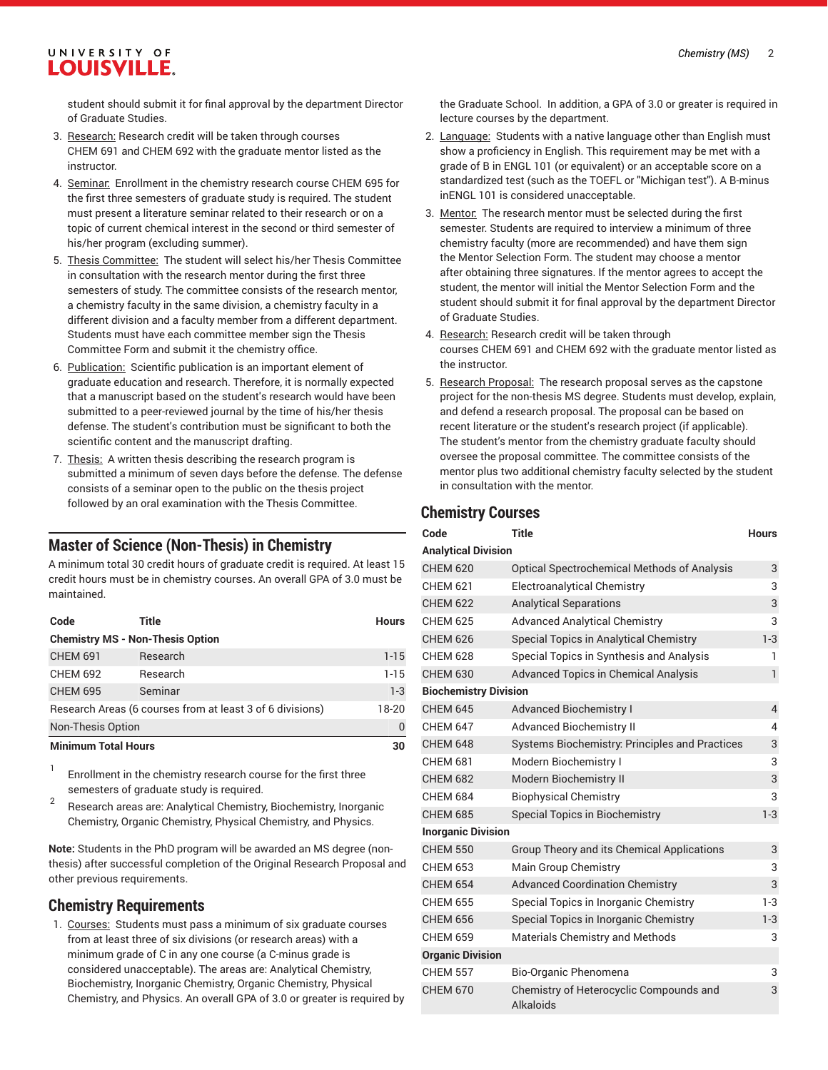#### UNIVERSITY OF LOUISVILLE.

student should submit it for final approval by the department Director of Graduate Studies.

- 3. Research: Research credit will be taken through courses CHEM 691 and CHEM 692 with the graduate mentor listed as the instructor.
- 4. Seminar: Enrollment in the chemistry research course CHEM 695 for the first three semesters of graduate study is required. The student must present a literature seminar related to their research or on a topic of current chemical interest in the second or third semester of his/her program (excluding summer).
- 5. Thesis Committee: The student will select his/her Thesis Committee in consultation with the research mentor during the first three semesters of study. The committee consists of the research mentor, a chemistry faculty in the same division, a chemistry faculty in a different division and a faculty member from a different department. Students must have each committee member sign the Thesis Committee Form and submit it the chemistry office.
- 6. Publication: Scientific publication is an important element of graduate education and research. Therefore, it is normally expected that a manuscript based on the student's research would have been submitted to a peer-reviewed journal by the time of his/her thesis defense. The student's contribution must be significant to both the scientific content and the manuscript drafting.
- 7. Thesis: A written thesis describing the research program is submitted a minimum of seven days before the defense. The defense consists of a seminar open to the public on the thesis project followed by an oral examination with the Thesis Committee.

#### **Master of Science (Non-Thesis) in Chemistry**

A minimum total 30 credit hours of graduate credit is required. At least 15 credit hours must be in chemistry courses. An overall GPA of 3.0 must be maintained.

| Code                                                      | Title    | <b>Hours</b> |  |  |
|-----------------------------------------------------------|----------|--------------|--|--|
| <b>Chemistry MS - Non-Thesis Option</b>                   |          |              |  |  |
| <b>CHEM 691</b>                                           | Research | $1 - 15$     |  |  |
| <b>CHEM 692</b>                                           | Research | $1 - 15$     |  |  |
| <b>CHEM 695</b>                                           | Seminar  | $1 - 3$      |  |  |
| Research Areas (6 courses from at least 3 of 6 divisions) | 18-20    |              |  |  |
| <b>Non-Thesis Option</b>                                  |          |              |  |  |
| <b>Minimum Total Hours</b>                                | 30       |              |  |  |

1 Enrollment in the chemistry research course for the first three semesters of graduate study is required.

2 Research areas are: Analytical Chemistry, Biochemistry, Inorganic Chemistry, Organic Chemistry, Physical Chemistry, and Physics.

**Note:** Students in the PhD program will be awarded an MS degree (nonthesis) after successful completion of the Original Research Proposal and other previous requirements.

#### **Chemistry Requirements**

1. Courses: Students must pass a minimum of six graduate courses from at least three of six divisions (or research areas) with a minimum grade of C in any one course (a C-minus grade is considered unacceptable). The areas are: Analytical Chemistry, Biochemistry, Inorganic Chemistry, Organic Chemistry, Physical Chemistry, and Physics. An overall GPA of 3.0 or greater is required by the Graduate School. In addition, a GPA of 3.0 or greater is required in lecture courses by the department.

- 2. Language: Students with a native language other than English must show a proficiency in English. This requirement may be met with a grade of B in ENGL 101 (or equivalent) or an acceptable score on a standardized test (such as the TOEFL or "Michigan test"). A B-minus inENGL 101 is considered unacceptable.
- 3. Mentor: The research mentor must be selected during the first semester. Students are required to interview a minimum of three chemistry faculty (more are recommended) and have them sign the Mentor Selection Form. The student may choose a mentor after obtaining three signatures. If the mentor agrees to accept the student, the mentor will initial the Mentor Selection Form and the student should submit it for final approval by the department Director of Graduate Studies.
- 4. Research: Research credit will be taken through courses CHEM 691 and CHEM 692 with the graduate mentor listed as the instructor.
- 5. Research Proposal: The research proposal serves as the capstone project for the non-thesis MS degree. Students must develop, explain, and defend a research proposal. The proposal can be based on recent literature or the student's research project (if applicable). The student's mentor from the chemistry graduate faculty should oversee the proposal committee. The committee consists of the mentor plus two additional chemistry faculty selected by the student in consultation with the mentor.

#### **Chemistry Courses**

| Code                         | Title                                                | <b>Hours</b> |  |  |
|------------------------------|------------------------------------------------------|--------------|--|--|
| <b>Analytical Division</b>   |                                                      |              |  |  |
| <b>CHEM 620</b>              | <b>Optical Spectrochemical Methods of Analysis</b>   | 3            |  |  |
| <b>CHEM 621</b>              | <b>Electroanalytical Chemistry</b>                   | 3            |  |  |
| <b>CHEM 622</b>              | <b>Analytical Separations</b>                        | 3            |  |  |
| <b>CHEM 625</b>              | <b>Advanced Analytical Chemistry</b>                 | 3            |  |  |
| <b>CHEM 626</b>              | Special Topics in Analytical Chemistry               | $1-3$        |  |  |
| <b>CHEM 628</b>              | Special Topics in Synthesis and Analysis             | 1            |  |  |
| <b>CHEM 630</b>              | <b>Advanced Topics in Chemical Analysis</b>          | $\mathbf{1}$ |  |  |
| <b>Biochemistry Division</b> |                                                      |              |  |  |
| <b>CHEM 645</b>              | <b>Advanced Biochemistry I</b>                       | 4            |  |  |
| <b>CHEM 647</b>              | <b>Advanced Biochemistry II</b>                      | 4            |  |  |
| <b>CHEM 648</b>              | Systems Biochemistry: Principles and Practices       | 3            |  |  |
| <b>CHEM 681</b>              | Modern Biochemistry I                                | 3            |  |  |
| <b>CHEM 682</b>              | Modern Biochemistry II                               | 3            |  |  |
| <b>CHEM 684</b>              | <b>Biophysical Chemistry</b>                         | 3            |  |  |
| <b>CHEM 685</b>              | <b>Special Topics in Biochemistry</b>                | $1-3$        |  |  |
| <b>Inorganic Division</b>    |                                                      |              |  |  |
| <b>CHEM 550</b>              | Group Theory and its Chemical Applications           | 3            |  |  |
| <b>CHEM 653</b>              | Main Group Chemistry                                 | 3            |  |  |
| <b>CHEM 654</b>              | <b>Advanced Coordination Chemistry</b>               | 3            |  |  |
| <b>CHEM 655</b>              | Special Topics in Inorganic Chemistry                | $1-3$        |  |  |
| <b>CHEM 656</b>              | Special Topics in Inorganic Chemistry                | $1-3$        |  |  |
| <b>CHEM 659</b>              | <b>Materials Chemistry and Methods</b>               | 3            |  |  |
| <b>Organic Division</b>      |                                                      |              |  |  |
| <b>CHEM 557</b>              | Bio-Organic Phenomena                                | 3            |  |  |
| <b>CHEM 670</b>              | Chemistry of Heterocyclic Compounds and<br>Alkaloids | 3            |  |  |
|                              |                                                      |              |  |  |